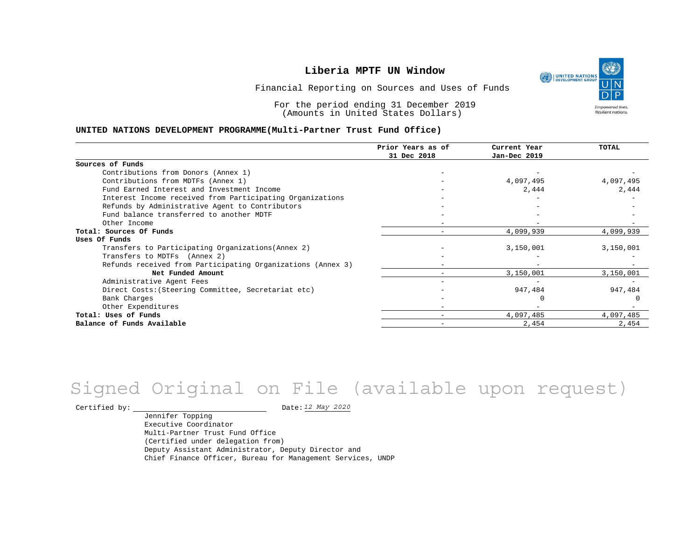UNITED NATIONS **Empowered lives Resilient nations.** 

Financial Reporting on Sources and Uses of Funds

For the period ending 31 December 2019 (Amounts in United States Dollars)

#### **UNITED NATIONS DEVELOPMENT PROGRAMME(Multi-Partner Trust Fund Office)**

|                                                             | Prior Years as of | Current Year | <b>TOTAL</b> |
|-------------------------------------------------------------|-------------------|--------------|--------------|
|                                                             | 31 Dec 2018       | Jan-Dec 2019 |              |
| Sources of Funds                                            |                   |              |              |
| Contributions from Donors (Annex 1)                         |                   |              |              |
| Contributions from MDTFs (Annex 1)                          |                   | 4,097,495    | 4,097,495    |
| Fund Earned Interest and Investment Income                  |                   | 2,444        | 2,444        |
| Interest Income received from Participating Organizations   |                   |              |              |
| Refunds by Administrative Agent to Contributors             |                   |              |              |
| Fund balance transferred to another MDTF                    |                   |              |              |
| Other Income                                                |                   |              |              |
| Total: Sources Of Funds                                     |                   | 4,099,939    | 4,099,939    |
| Uses Of Funds                                               |                   |              |              |
| Transfers to Participating Organizations (Annex 2)          |                   | 3,150,001    | 3,150,001    |
| Transfers to MDTFs (Annex 2)                                |                   |              |              |
| Refunds received from Participating Organizations (Annex 3) |                   |              |              |
| Net Funded Amount                                           |                   | 3,150,001    | 3,150,001    |
| Administrative Agent Fees                                   |                   |              |              |
| Direct Costs: (Steering Committee, Secretariat etc)         |                   | 947,484      | 947,484      |
| Bank Charges                                                |                   |              |              |
| Other Expenditures                                          |                   |              |              |
| Total: Uses of Funds                                        |                   | 4,097,485    | 4,097,485    |
| Balance of Funds Available                                  |                   | 2,454        | 2,454        |

## Signed Original on File (available upon request)

Certified by: Date:

Jennifer Topping Executive Coordinator Multi-Partner Trust Fund Office (Certified under delegation from) Deputy Assistant Administrator, Deputy Director and Chief Finance Officer, Bureau for Management Services, UNDP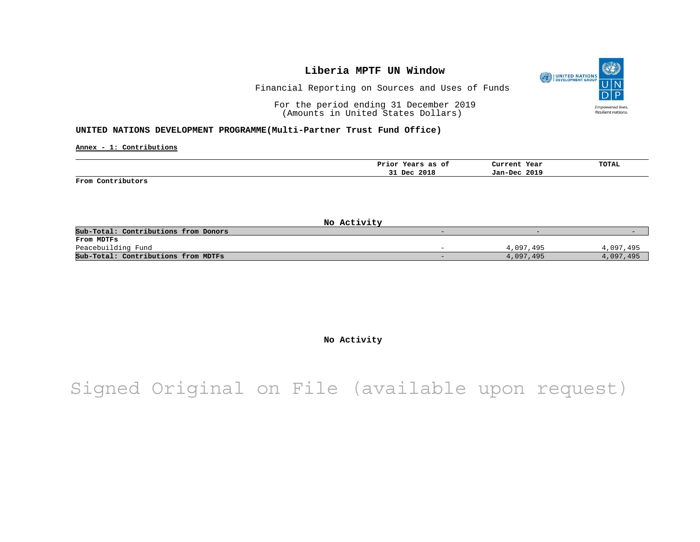

Financial Reporting on Sources and Uses of Funds

For the period ending 31 December 2019 (Amounts in United States Dollars)

#### **UNITED NATIONS DEVELOPMENT PROGRAMME(Multi-Partner Trust Fund Office)**

**Annex - 1: Contributions**

|                   | Prior Years as of | Current Year | TOTAL<br>the contract of the contract of the |
|-------------------|-------------------|--------------|----------------------------------------------|
|                   | Dec 2018<br>--    | Jan-Dec 2019 |                                              |
| From Contributors |                   |              |                                              |

**No Activity** Sub-Total: Contributions from Donors **From MDTFs** Peacebuilding Fund 4,097,495 4,097,495 4,097,495 4,097,495 4,097,495 4,097,495 4,097,495 4,097,495 4,097,495 4,097,495 4,097,495 4,097,495 4,097,495 4,097,495 4,097,495 4,097,499 5,000 4,097,499 5,000 5,000 5,000 5,000 5,0 **Sub-Total: Contributions from MDTFs** 4,097,495 4,097,495 4,097,495 4,097,495 4,097,495 4,097,495 4,097,495 4,097,495

**No Activity**

Signed Original on File (available upon request)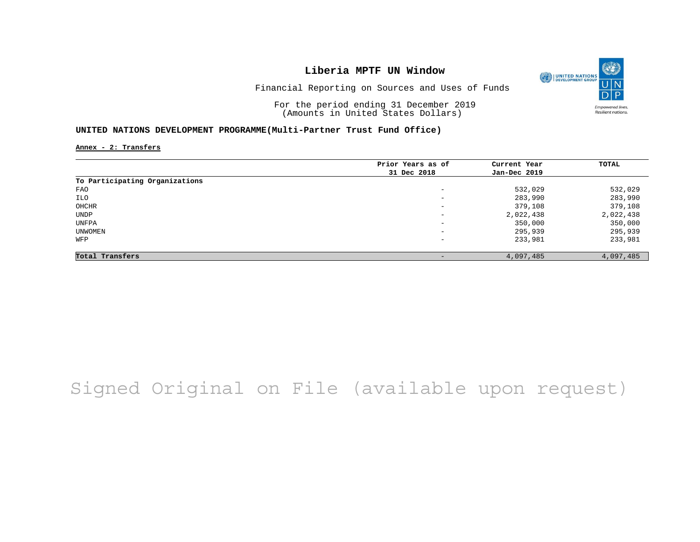

Financial Reporting on Sources and Uses of Funds

For the period ending 31 December 2019 (Amounts in United States Dollars)

#### **UNITED NATIONS DEVELOPMENT PROGRAMME(Multi-Partner Trust Fund Office)**

**Annex - 2: Transfers**

|                                | Prior Years as of            | Current Year | TOTAL     |
|--------------------------------|------------------------------|--------------|-----------|
|                                | 31 Dec 2018                  | Jan-Dec 2019 |           |
| To Participating Organizations |                              |              |           |
| FAO                            | $-$                          | 532,029      | 532,029   |
| ILO                            | $-$                          | 283,990      | 283,990   |
| OHCHR                          | $-$                          | 379,108      | 379,108   |
| UNDP                           | $\qquad \qquad \blacksquare$ | 2,022,438    | 2,022,438 |
| UNFPA                          | $\qquad \qquad \blacksquare$ | 350,000      | 350,000   |
| UNWOMEN                        | $\qquad \qquad \blacksquare$ | 295,939      | 295,939   |
| WFP                            | -                            | 233,981      | 233,981   |
| Total Transfers                | -                            | 4,097,485    | 4,097,485 |

# Signed Original on File (available upon request)